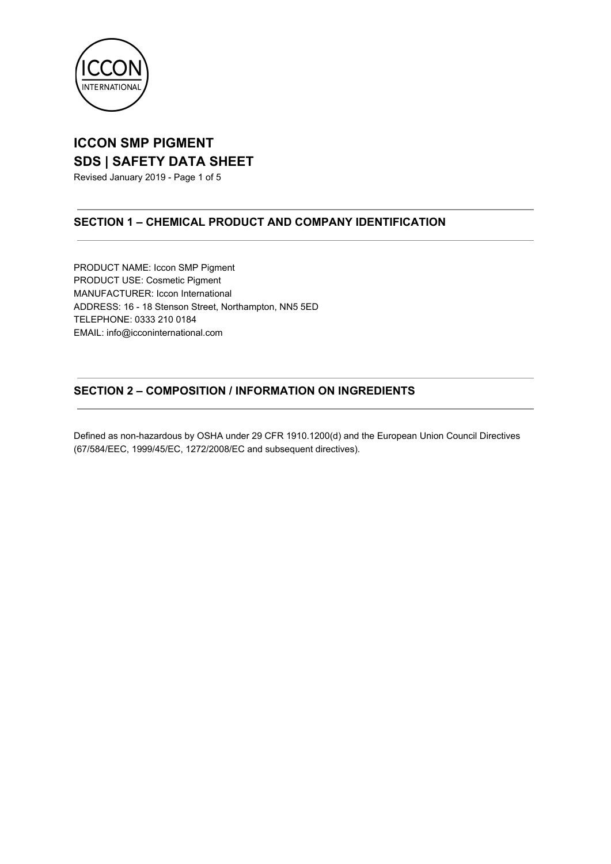

Revised January 2019 - Page 1 of 5

### **SECTION 1 – CHEMICAL PRODUCT AND COMPANY IDENTIFICATION**

PRODUCT NAME: Iccon SMP Pigment PRODUCT USE: Cosmetic Pigment MANUFACTURER: Iccon International ADDRESS: 16 - 18 Stenson Street, Northampton, NN5 5ED TELEPHONE: 0333 210 0184 EMAIL: info@icconinternational.com

### **SECTION 2 – COMPOSITION / INFORMATION ON INGREDIENTS**

Defined as non-hazardous by OSHA under 29 CFR 1910.1200(d) and the European Union Council Directives (67/584/EEC, 1999/45/EC, 1272/2008/EC and subsequent directives).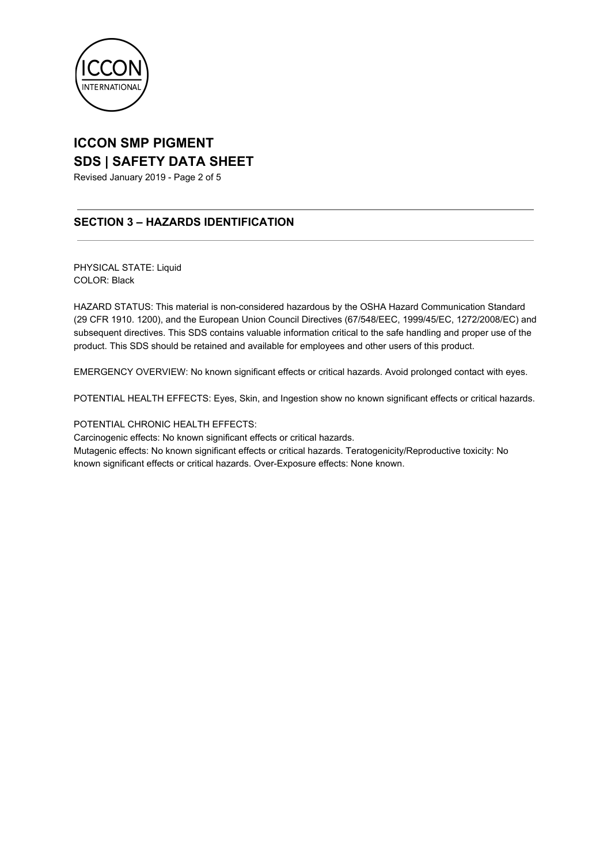

Revised January 2019 - Page 2 of 5

### **SECTION 3 – HAZARDS IDENTIFICATION**

PHYSICAL STATE: Liquid COLOR: Black

HAZARD STATUS: This material is non-considered hazardous by the OSHA Hazard Communication Standard (29 CFR 1910. 1200), and the European Union Council Directives (67/548/EEC, 1999/45/EC, 1272/2008/EC) and subsequent directives. This SDS contains valuable information critical to the safe handling and proper use of the product. This SDS should be retained and available for employees and other users of this product.

EMERGENCY OVERVIEW: No known significant effects or critical hazards. Avoid prolonged contact with eyes.

POTENTIAL HEALTH EFFECTS: Eyes, Skin, and Ingestion show no known significant effects or critical hazards.

#### POTENTIAL CHRONIC HEALTH EFFECTS:

Carcinogenic effects: No known significant effects or critical hazards.

Mutagenic effects: No known significant effects or critical hazards. Teratogenicity/Reproductive toxicity: No known significant effects or critical hazards. Over-Exposure effects: None known.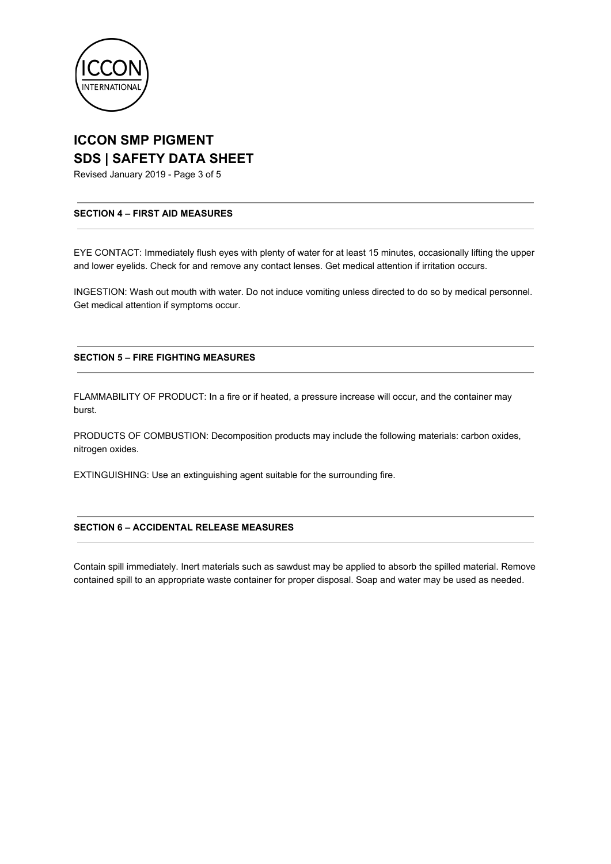

Revised January 2019 - Page 3 of 5

#### **SECTION 4 – FIRST AID MEASURES**

EYE CONTACT: Immediately flush eyes with plenty of water for at least 15 minutes, occasionally lifting the upper and lower eyelids. Check for and remove any contact lenses. Get medical attention if irritation occurs.

INGESTION: Wash out mouth with water. Do not induce vomiting unless directed to do so by medical personnel. Get medical attention if symptoms occur.

#### **SECTION 5 – FIRE FIGHTING MEASURES**

FLAMMABILITY OF PRODUCT: In a fire or if heated, a pressure increase will occur, and the container may burst.

PRODUCTS OF COMBUSTION: Decomposition products may include the following materials: carbon oxides, nitrogen oxides.

EXTINGUISHING: Use an extinguishing agent suitable for the surrounding fire.

#### **SECTION 6 – ACCIDENTAL RELEASE MEASURES**

Contain spill immediately. Inert materials such as sawdust may be applied to absorb the spilled material. Remove contained spill to an appropriate waste container for proper disposal. Soap and water may be used as needed.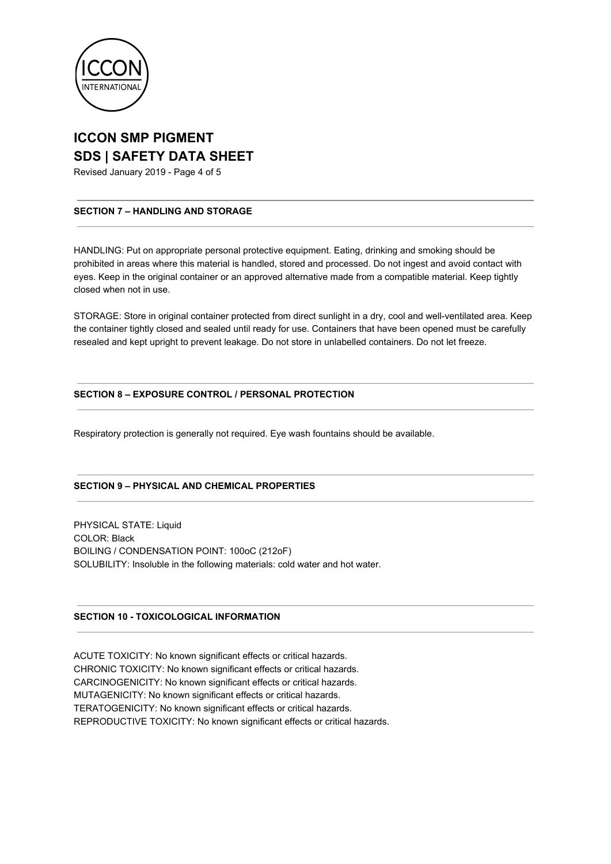

Revised January 2019 - Page 4 of 5

#### **SECTION 7 – HANDLING AND STORAGE**

HANDLING: Put on appropriate personal protective equipment. Eating, drinking and smoking should be prohibited in areas where this material is handled, stored and processed. Do not ingest and avoid contact with eyes. Keep in the original container or an approved alternative made from a compatible material. Keep tightly closed when not in use.

STORAGE: Store in original container protected from direct sunlight in a dry, cool and well-ventilated area. Keep the container tightly closed and sealed until ready for use. Containers that have been opened must be carefully resealed and kept upright to prevent leakage. Do not store in unlabelled containers. Do not let freeze.

#### **SECTION 8 – EXPOSURE CONTROL / PERSONAL PROTECTION**

Respiratory protection is generally not required. Eye wash fountains should be available.

#### **SECTION 9 – PHYSICAL AND CHEMICAL PROPERTIES**

PHYSICAL STATE: Liquid COLOR: Black BOILING / CONDENSATION POINT: 100oC (212oF) SOLUBILITY: Insoluble in the following materials: cold water and hot water.

#### **SECTION 10 - TOXICOLOGICAL INFORMATION**

ACUTE TOXICITY: No known significant effects or critical hazards. CHRONIC TOXICITY: No known significant effects or critical hazards. CARCINOGENICITY: No known significant effects or critical hazards. MUTAGENICITY: No known significant effects or critical hazards. TERATOGENICITY: No known significant effects or critical hazards. REPRODUCTIVE TOXICITY: No known significant effects or critical hazards.